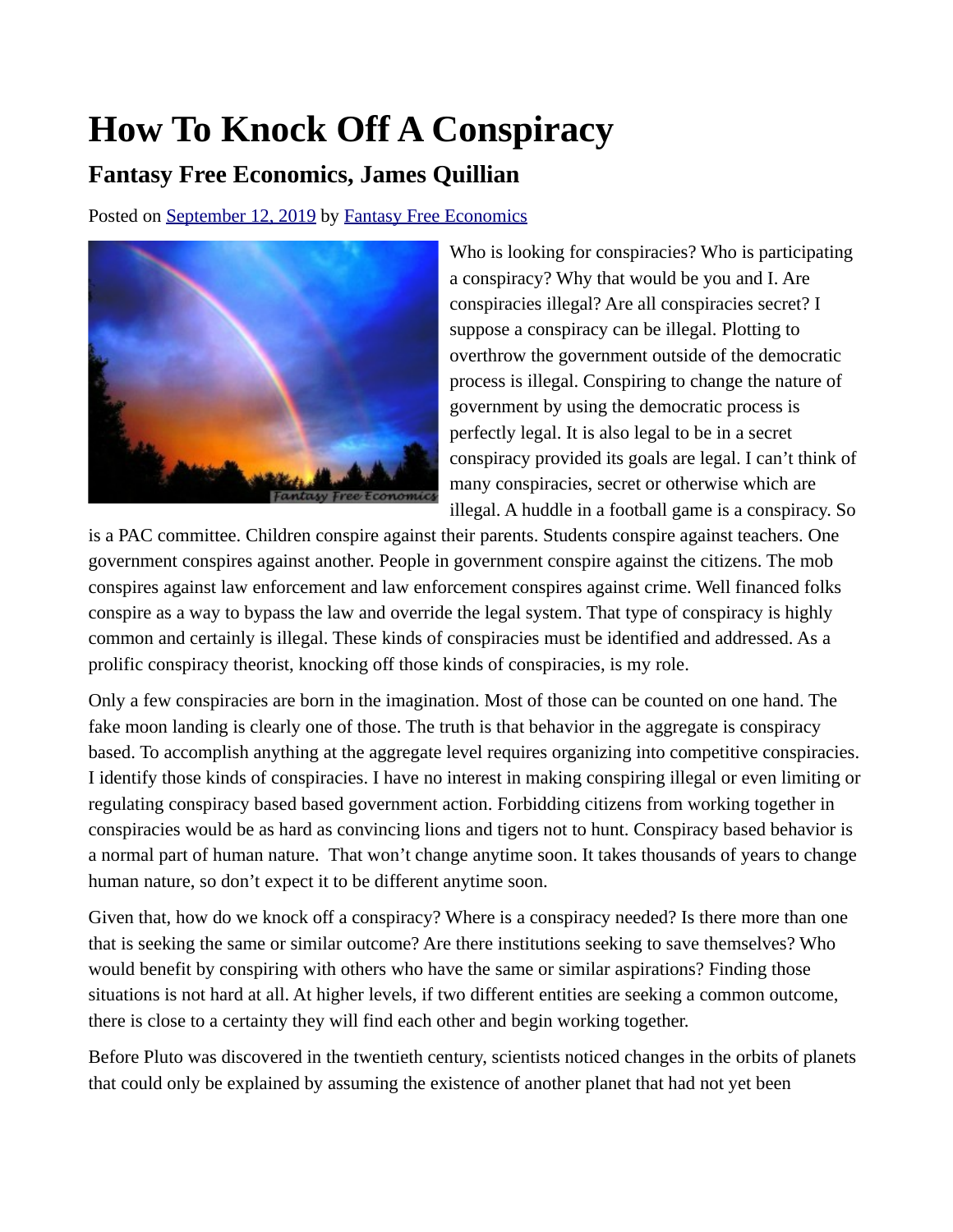## **How To Knock Off A Conspiracy**

## **Fantasy Free Economics, James Quillian**

Posted on [September 12, 2019](http://quillian.net/blog/?p=6665) by [Fantasy Free Economics](http://quillian.net/blog/author/james-quillian/)



Who is looking for conspiracies? Who is participating a conspiracy? Why that would be you and I. Are conspiracies illegal? Are all conspiracies secret? I suppose a conspiracy can be illegal. Plotting to overthrow the government outside of the democratic process is illegal. Conspiring to change the nature of government by using the democratic process is perfectly legal. It is also legal to be in a secret conspiracy provided its goals are legal. I can't think of many conspiracies, secret or otherwise which are illegal. A huddle in a football game is a conspiracy. So

is a PAC committee. Children conspire against their parents. Students conspire against teachers. One government conspires against another. People in government conspire against the citizens. The mob conspires against law enforcement and law enforcement conspires against crime. Well financed folks conspire as a way to bypass the law and override the legal system. That type of conspiracy is highly common and certainly is illegal. These kinds of conspiracies must be identified and addressed. As a prolific conspiracy theorist, knocking off those kinds of conspiracies, is my role.

Only a few conspiracies are born in the imagination. Most of those can be counted on one hand. The fake moon landing is clearly one of those. The truth is that behavior in the aggregate is conspiracy based. To accomplish anything at the aggregate level requires organizing into competitive conspiracies. I identify those kinds of conspiracies. I have no interest in making conspiring illegal or even limiting or regulating conspiracy based based government action. Forbidding citizens from working together in conspiracies would be as hard as convincing lions and tigers not to hunt. Conspiracy based behavior is a normal part of human nature. That won't change anytime soon. It takes thousands of years to change human nature, so don't expect it to be different anytime soon.

Given that, how do we knock off a conspiracy? Where is a conspiracy needed? Is there more than one that is seeking the same or similar outcome? Are there institutions seeking to save themselves? Who would benefit by conspiring with others who have the same or similar aspirations? Finding those situations is not hard at all. At higher levels, if two different entities are seeking a common outcome, there is close to a certainty they will find each other and begin working together.

Before Pluto was discovered in the twentieth century, scientists noticed changes in the orbits of planets that could only be explained by assuming the existence of another planet that had not yet been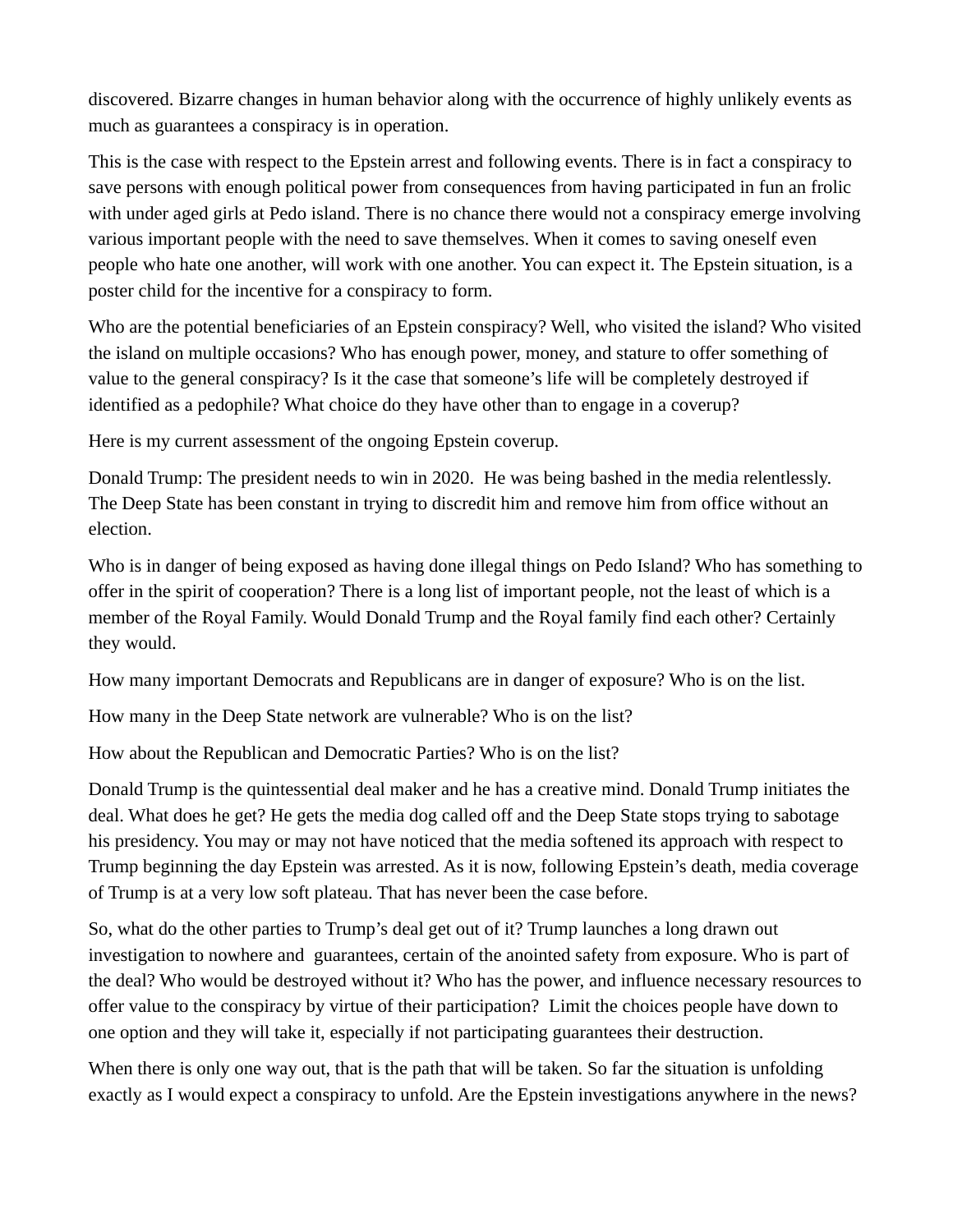discovered. Bizarre changes in human behavior along with the occurrence of highly unlikely events as much as guarantees a conspiracy is in operation.

This is the case with respect to the Epstein arrest and following events. There is in fact a conspiracy to save persons with enough political power from consequences from having participated in fun an frolic with under aged girls at Pedo island. There is no chance there would not a conspiracy emerge involving various important people with the need to save themselves. When it comes to saving oneself even people who hate one another, will work with one another. You can expect it. The Epstein situation, is a poster child for the incentive for a conspiracy to form.

Who are the potential beneficiaries of an Epstein conspiracy? Well, who visited the island? Who visited the island on multiple occasions? Who has enough power, money, and stature to offer something of value to the general conspiracy? Is it the case that someone's life will be completely destroyed if identified as a pedophile? What choice do they have other than to engage in a coverup?

Here is my current assessment of the ongoing Epstein coverup.

Donald Trump: The president needs to win in 2020. He was being bashed in the media relentlessly. The Deep State has been constant in trying to discredit him and remove him from office without an election.

Who is in danger of being exposed as having done illegal things on Pedo Island? Who has something to offer in the spirit of cooperation? There is a long list of important people, not the least of which is a member of the Royal Family. Would Donald Trump and the Royal family find each other? Certainly they would.

How many important Democrats and Republicans are in danger of exposure? Who is on the list.

How many in the Deep State network are vulnerable? Who is on the list?

How about the Republican and Democratic Parties? Who is on the list?

Donald Trump is the quintessential deal maker and he has a creative mind. Donald Trump initiates the deal. What does he get? He gets the media dog called off and the Deep State stops trying to sabotage his presidency. You may or may not have noticed that the media softened its approach with respect to Trump beginning the day Epstein was arrested. As it is now, following Epstein's death, media coverage of Trump is at a very low soft plateau. That has never been the case before.

So, what do the other parties to Trump's deal get out of it? Trump launches a long drawn out investigation to nowhere and guarantees, certain of the anointed safety from exposure. Who is part of the deal? Who would be destroyed without it? Who has the power, and influence necessary resources to offer value to the conspiracy by virtue of their participation? Limit the choices people have down to one option and they will take it, especially if not participating guarantees their destruction.

When there is only one way out, that is the path that will be taken. So far the situation is unfolding exactly as I would expect a conspiracy to unfold. Are the Epstein investigations anywhere in the news?